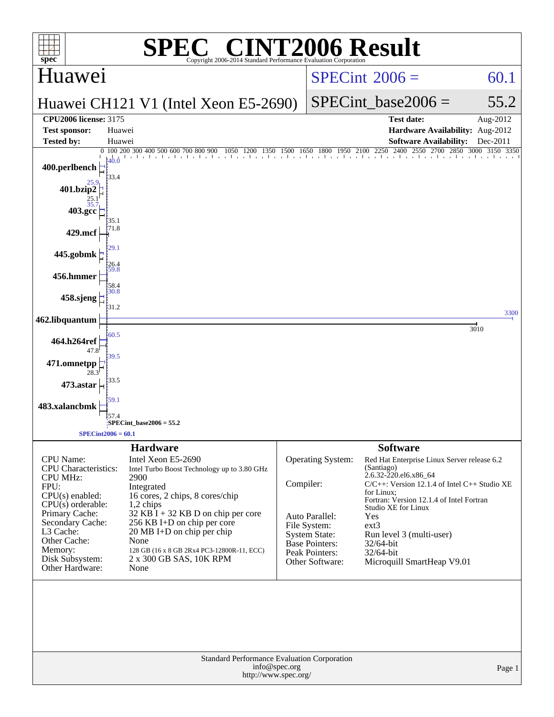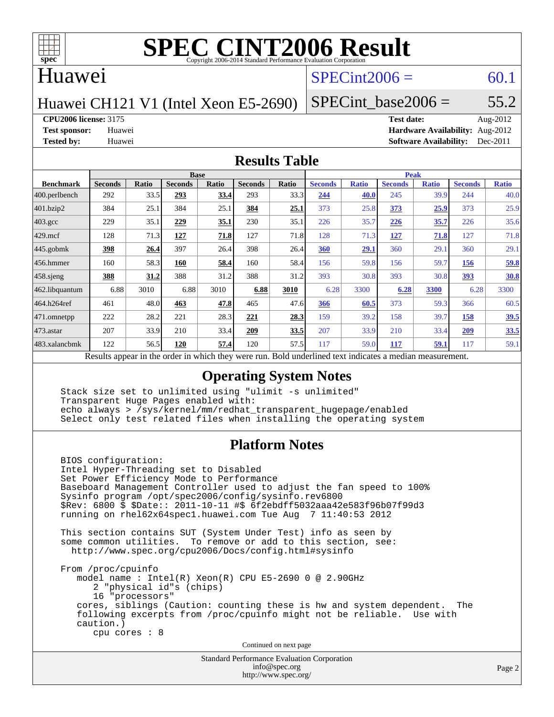

### Huawei

## $SPECint2006 = 60.1$  $SPECint2006 = 60.1$

Huawei CH121 V1 (Intel Xeon E5-2690)

SPECint base2006 =  $55.2$ 

**[CPU2006 license:](http://www.spec.org/auto/cpu2006/Docs/result-fields.html#CPU2006license)** 3175 **[Test date:](http://www.spec.org/auto/cpu2006/Docs/result-fields.html#Testdate)** Aug-2012

**[Test sponsor:](http://www.spec.org/auto/cpu2006/Docs/result-fields.html#Testsponsor)** Huawei **[Hardware Availability:](http://www.spec.org/auto/cpu2006/Docs/result-fields.html#HardwareAvailability)** Aug-2012 **[Tested by:](http://www.spec.org/auto/cpu2006/Docs/result-fields.html#Testedby)** Huawei **[Software Availability:](http://www.spec.org/auto/cpu2006/Docs/result-fields.html#SoftwareAvailability)** Dec-2011

#### **[Results Table](http://www.spec.org/auto/cpu2006/Docs/result-fields.html#ResultsTable)**

|                                                                                                           | <b>Base</b>    |       |                |       |                |       | <b>Peak</b>    |              |                |              |                |              |
|-----------------------------------------------------------------------------------------------------------|----------------|-------|----------------|-------|----------------|-------|----------------|--------------|----------------|--------------|----------------|--------------|
| <b>Benchmark</b>                                                                                          | <b>Seconds</b> | Ratio | <b>Seconds</b> | Ratio | <b>Seconds</b> | Ratio | <b>Seconds</b> | <b>Ratio</b> | <b>Seconds</b> | <b>Ratio</b> | <b>Seconds</b> | <b>Ratio</b> |
| $ 400.\text{perlbench}$                                                                                   | 292            | 33.5  | 293            | 33.4  | 293            | 33.3  | 244            | 40.0         | 245            | 39.9         | 244            | 40.0         |
| 401.bzip2                                                                                                 | 384            | 25.1  | 384            | 25.1  | 384            | 25.1  | 373            | 25.8         | 373            | 25.9         | 373            | 25.9         |
| $403.\mathrm{gcc}$                                                                                        | 229            | 35.1  | 229            | 35.1  | 230            | 35.1  | 226            | 35.7         | 226            | 35.7         | 226            | 35.6         |
| $429$ .mcf                                                                                                | 128            | 71.3  | 127            | 71.8  | 127            | 71.8  | 128            | 71.3         | <u>127</u>     | 71.8         | 127            | 71.8         |
| $445$ .gobmk                                                                                              | 398            | 26.4  | 397            | 26.4  | 398            | 26.4  | 360            | 29.1         | 360            | 29.1         | 360            | 29.1         |
| $456.$ hmmer                                                                                              | 160            | 58.3  | 160            | 58.4  | 160            | 58.4  | 156            | 59.8         | 156            | 59.7         | 156            | 59.8         |
| 458.sjeng                                                                                                 | 388            | 31.2  | 388            | 31.2  | 388            | 31.2  | 393            | 30.8         | 393            | 30.8         | 393            | 30.8         |
| 462.libquantum                                                                                            | 6.88           | 3010  | 6.88           | 3010  | 6.88           | 3010  | 6.28           | 3300         | 6.28           | 3300         | 6.28           | 3300         |
| 464.h264ref                                                                                               | 461            | 48.0  | 463            | 47.8  | 465            | 47.6  | 366            | 60.5         | 373            | 59.3         | 366            | 60.5         |
| 471.omnetpp                                                                                               | 222            | 28.2  | 221            | 28.3  | 221            | 28.3  | 159            | 39.2         | 158            | 39.7         | 158            | 39.5         |
| $473$ . astar                                                                                             | 207            | 33.9  | 210            | 33.4  | 209            | 33.5  | 207            | 33.9         | 210            | 33.4         | 209            | 33.5         |
| 483.xalancbmk                                                                                             | 122            | 56.5  | 120            | 57.4  | 120            | 57.5  | 117            | 59.0         | 117            | 59.1         | 117            | 59.1         |
| Rold underlined text indicates a modian moasurement<br>Docults appear in the order in which they were run |                |       |                |       |                |       |                |              |                |              |                |              |

Results appear in the [order in which they were run.](http://www.spec.org/auto/cpu2006/Docs/result-fields.html#RunOrder) Bold underlined text [indicates a median measurement.](http://www.spec.org/auto/cpu2006/Docs/result-fields.html#Median)

#### **[Operating System Notes](http://www.spec.org/auto/cpu2006/Docs/result-fields.html#OperatingSystemNotes)**

 Stack size set to unlimited using "ulimit -s unlimited" Transparent Huge Pages enabled with: echo always > /sys/kernel/mm/redhat\_transparent\_hugepage/enabled Select only test related files when installing the operating system

### **[Platform Notes](http://www.spec.org/auto/cpu2006/Docs/result-fields.html#PlatformNotes)**

 BIOS configuration: Intel Hyper-Threading set to Disabled Set Power Efficiency Mode to Performance Baseboard Management Controller used to adjust the fan speed to 100% Sysinfo program /opt/spec2006/config/sysinfo.rev6800 \$Rev: 6800 \$ \$Date:: 2011-10-11 #\$ 6f2ebdff5032aaa42e583f96b07f99d3 running on rhel62x64spec1.huawei.com Tue Aug 7 11:40:53 2012 This section contains SUT (System Under Test) info as seen by some common utilities. To remove or add to this section, see: <http://www.spec.org/cpu2006/Docs/config.html#sysinfo> From /proc/cpuinfo model name : Intel(R) Xeon(R) CPU E5-2690 0 @ 2.90GHz 2 "physical id"s (chips) 16 "processors" cores, siblings (Caution: counting these is hw and system dependent. The following excerpts from /proc/cpuinfo might not be reliable. Use with caution.) cpu cores : 8

Continued on next page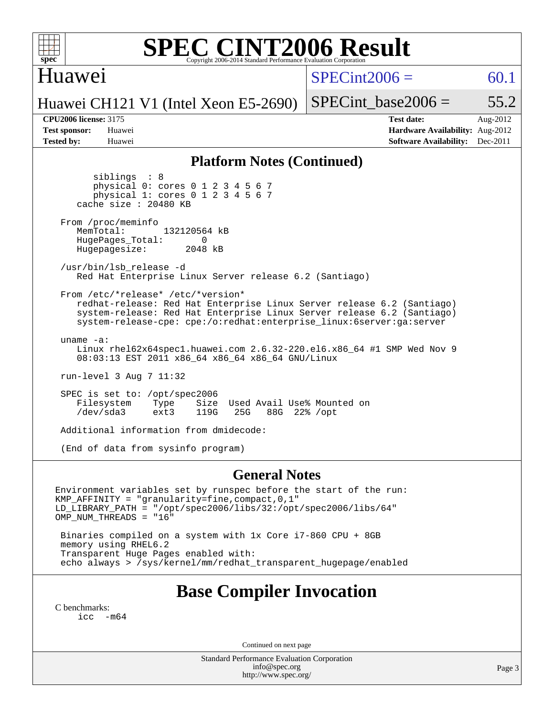

### Huawei

 $SPECint2006 = 60.1$  $SPECint2006 = 60.1$ 

Huawei CH121 V1 (Intel Xeon E5-2690)

SPECint base2006 =  $55.2$ 

**[CPU2006 license:](http://www.spec.org/auto/cpu2006/Docs/result-fields.html#CPU2006license)** 3175 **[Test date:](http://www.spec.org/auto/cpu2006/Docs/result-fields.html#Testdate)** Aug-2012 **[Test sponsor:](http://www.spec.org/auto/cpu2006/Docs/result-fields.html#Testsponsor)** Huawei **[Hardware Availability:](http://www.spec.org/auto/cpu2006/Docs/result-fields.html#HardwareAvailability)** Aug-2012 **[Tested by:](http://www.spec.org/auto/cpu2006/Docs/result-fields.html#Testedby)** Huawei **[Software Availability:](http://www.spec.org/auto/cpu2006/Docs/result-fields.html#SoftwareAvailability)** Dec-2011

#### **[Platform Notes \(Continued\)](http://www.spec.org/auto/cpu2006/Docs/result-fields.html#PlatformNotes)**

 siblings : 8 physical 0: cores 0 1 2 3 4 5 6 7 physical 1: cores 0 1 2 3 4 5 6 7 cache size : 20480 KB From /proc/meminfo<br>MemTotal: 132120564 kB

HugePages\_Total: 0<br>Hugepagesize: 2048 kB Hugepagesize:

 /usr/bin/lsb\_release -d Red Hat Enterprise Linux Server release 6.2 (Santiago)

 From /etc/\*release\* /etc/\*version\* redhat-release: Red Hat Enterprise Linux Server release 6.2 (Santiago) system-release: Red Hat Enterprise Linux Server release 6.2 (Santiago) system-release-cpe: cpe:/o:redhat:enterprise\_linux:6server:ga:server

 uname -a: Linux rhel62x64spec1.huawei.com 2.6.32-220.el6.x86\_64 #1 SMP Wed Nov 9 08:03:13 EST 2011 x86\_64 x86\_64 x86\_64 GNU/Linux

run-level 3 Aug 7 11:32

SPEC is set to: /opt/spec2006<br>Filesystem Type Size Size Used Avail Use% Mounted on /dev/sda3 ext3 119G 25G 88G 22% /opt

Additional information from dmidecode:

(End of data from sysinfo program)

#### **[General Notes](http://www.spec.org/auto/cpu2006/Docs/result-fields.html#GeneralNotes)**

Environment variables set by runspec before the start of the run: KMP\_AFFINITY = "granularity=fine,compact,0,1" LD\_LIBRARY\_PATH = "/opt/spec2006/libs/32:/opt/spec2006/libs/64" OMP\_NUM\_THREADS = "16"

 Binaries compiled on a system with 1x Core i7-860 CPU + 8GB memory using RHEL6.2 Transparent Huge Pages enabled with: echo always > /sys/kernel/mm/redhat\_transparent\_hugepage/enabled

## **[Base Compiler Invocation](http://www.spec.org/auto/cpu2006/Docs/result-fields.html#BaseCompilerInvocation)**

[C benchmarks](http://www.spec.org/auto/cpu2006/Docs/result-fields.html#Cbenchmarks): [icc -m64](http://www.spec.org/cpu2006/results/res2012q3/cpu2006-20120908-24412.flags.html#user_CCbase_intel_icc_64bit_f346026e86af2a669e726fe758c88044)

Continued on next page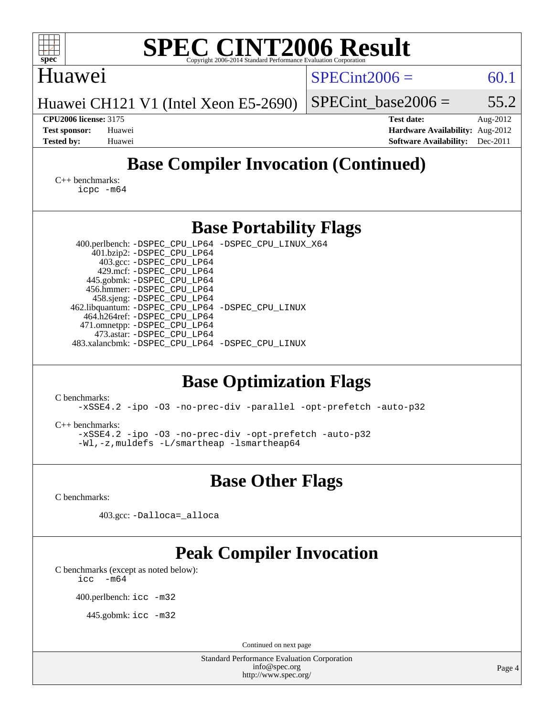| <b>SPEC CINT2006 Result</b><br>spec <sup>®</sup><br>Copyright 2006-2014 Standard Performance Evaluation Corporation                                                                                                                                                                                                                                                                                                                         |                                                                                                               |  |  |  |  |  |  |
|---------------------------------------------------------------------------------------------------------------------------------------------------------------------------------------------------------------------------------------------------------------------------------------------------------------------------------------------------------------------------------------------------------------------------------------------|---------------------------------------------------------------------------------------------------------------|--|--|--|--|--|--|
| Huawei                                                                                                                                                                                                                                                                                                                                                                                                                                      | $SPECint2006 =$<br>60.1                                                                                       |  |  |  |  |  |  |
| Huawei CH121 V1 (Intel Xeon E5-2690)                                                                                                                                                                                                                                                                                                                                                                                                        | SPECint base2006 $=$<br>55.2                                                                                  |  |  |  |  |  |  |
| <b>CPU2006 license: 3175</b><br><b>Test sponsor:</b><br>Huawei<br><b>Tested by:</b><br>Huawei                                                                                                                                                                                                                                                                                                                                               | <b>Test date:</b><br>Aug-2012<br>Hardware Availability: Aug-2012<br>Dec-2011<br><b>Software Availability:</b> |  |  |  |  |  |  |
| <b>Base Compiler Invocation (Continued)</b>                                                                                                                                                                                                                                                                                                                                                                                                 |                                                                                                               |  |  |  |  |  |  |
| $C_{++}$ benchmarks:<br>$icpc$ $-m64$                                                                                                                                                                                                                                                                                                                                                                                                       |                                                                                                               |  |  |  |  |  |  |
| <b>Base Portability Flags</b>                                                                                                                                                                                                                                                                                                                                                                                                               |                                                                                                               |  |  |  |  |  |  |
| 400.perlbench: -DSPEC_CPU_LP64 -DSPEC_CPU_LINUX_X64<br>401.bzip2: -DSPEC_CPU_LP64<br>403.gcc: -DSPEC_CPU_LP64<br>429.mcf: -DSPEC_CPU_LP64<br>445.gobmk: -DSPEC_CPU_LP64<br>456.hmmer: - DSPEC_CPU_LP64<br>458.sjeng: -DSPEC_CPU_LP64<br>462.libquantum: - DSPEC_CPU_LP64 - DSPEC_CPU_LINUX<br>464.h264ref: -DSPEC_CPU_LP64<br>471.omnetpp: -DSPEC_CPU_LP64<br>473.astar: -DSPEC CPU LP64<br>483.xalancbmk: -DSPEC_CPU_LP64 -DSPEC_CPU_LINUX |                                                                                                               |  |  |  |  |  |  |
| <b>Base Optimization Flags</b><br>C benchmarks:<br>-xSSE4.2 -ipo -03 -no-prec-div -parallel -opt-prefetch -auto-p32<br>$C_{++}$ benchmarks:<br>-xSSE4.2 -ipo -03 -no-prec-div -opt-prefetch -auto-p32<br>-Wl,-z, muldefs -L/smartheap -lsmartheap64                                                                                                                                                                                         |                                                                                                               |  |  |  |  |  |  |
| <b>Base Other Flags</b>                                                                                                                                                                                                                                                                                                                                                                                                                     |                                                                                                               |  |  |  |  |  |  |
| C benchmarks:                                                                                                                                                                                                                                                                                                                                                                                                                               |                                                                                                               |  |  |  |  |  |  |
| 403.gcc: -Dalloca=_alloca                                                                                                                                                                                                                                                                                                                                                                                                                   |                                                                                                               |  |  |  |  |  |  |
| <b>Peak Compiler Invocation</b><br>C benchmarks (except as noted below):<br>$-m64$<br>icc<br>400.perlbench: icc -m32<br>445.gobmk: icc -m32                                                                                                                                                                                                                                                                                                 |                                                                                                               |  |  |  |  |  |  |
| Continued on next page<br>Standard Performance Evaluation Corporation                                                                                                                                                                                                                                                                                                                                                                       |                                                                                                               |  |  |  |  |  |  |
| info@spec.org<br>http://www.spec.org/                                                                                                                                                                                                                                                                                                                                                                                                       | Page 4                                                                                                        |  |  |  |  |  |  |
|                                                                                                                                                                                                                                                                                                                                                                                                                                             |                                                                                                               |  |  |  |  |  |  |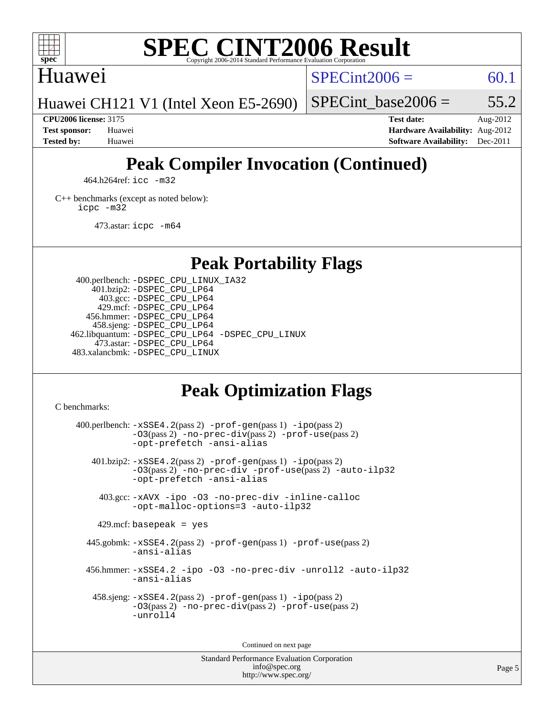

### Huawei

 $SPECint2006 = 60.1$  $SPECint2006 = 60.1$ 

Huawei CH121 V1 (Intel Xeon E5-2690)

SPECint base2006 =  $55.2$ 

**[CPU2006 license:](http://www.spec.org/auto/cpu2006/Docs/result-fields.html#CPU2006license)** 3175 **[Test date:](http://www.spec.org/auto/cpu2006/Docs/result-fields.html#Testdate)** Aug-2012 **[Test sponsor:](http://www.spec.org/auto/cpu2006/Docs/result-fields.html#Testsponsor)** Huawei **[Hardware Availability:](http://www.spec.org/auto/cpu2006/Docs/result-fields.html#HardwareAvailability)** Aug-2012 **[Tested by:](http://www.spec.org/auto/cpu2006/Docs/result-fields.html#Testedby)** Huawei **[Software Availability:](http://www.spec.org/auto/cpu2006/Docs/result-fields.html#SoftwareAvailability)** Dec-2011

# **[Peak Compiler Invocation \(Continued\)](http://www.spec.org/auto/cpu2006/Docs/result-fields.html#PeakCompilerInvocation)**

464.h264ref: [icc -m32](http://www.spec.org/cpu2006/results/res2012q3/cpu2006-20120908-24412.flags.html#user_peakCCLD464_h264ref_intel_icc_a6a621f8d50482236b970c6ac5f55f93)

[C++ benchmarks \(except as noted below\):](http://www.spec.org/auto/cpu2006/Docs/result-fields.html#CXXbenchmarksexceptasnotedbelow) [icpc -m32](http://www.spec.org/cpu2006/results/res2012q3/cpu2006-20120908-24412.flags.html#user_CXXpeak_intel_icpc_4e5a5ef1a53fd332b3c49e69c3330699)

473.astar: [icpc -m64](http://www.spec.org/cpu2006/results/res2012q3/cpu2006-20120908-24412.flags.html#user_peakCXXLD473_astar_intel_icpc_64bit_fc66a5337ce925472a5c54ad6a0de310)

## **[Peak Portability Flags](http://www.spec.org/auto/cpu2006/Docs/result-fields.html#PeakPortabilityFlags)**

 400.perlbench: [-DSPEC\\_CPU\\_LINUX\\_IA32](http://www.spec.org/cpu2006/results/res2012q3/cpu2006-20120908-24412.flags.html#b400.perlbench_peakCPORTABILITY_DSPEC_CPU_LINUX_IA32) 401.bzip2: [-DSPEC\\_CPU\\_LP64](http://www.spec.org/cpu2006/results/res2012q3/cpu2006-20120908-24412.flags.html#suite_peakPORTABILITY401_bzip2_DSPEC_CPU_LP64) 403.gcc: [-DSPEC\\_CPU\\_LP64](http://www.spec.org/cpu2006/results/res2012q3/cpu2006-20120908-24412.flags.html#suite_peakPORTABILITY403_gcc_DSPEC_CPU_LP64) 429.mcf: [-DSPEC\\_CPU\\_LP64](http://www.spec.org/cpu2006/results/res2012q3/cpu2006-20120908-24412.flags.html#suite_peakPORTABILITY429_mcf_DSPEC_CPU_LP64) 456.hmmer: [-DSPEC\\_CPU\\_LP64](http://www.spec.org/cpu2006/results/res2012q3/cpu2006-20120908-24412.flags.html#suite_peakPORTABILITY456_hmmer_DSPEC_CPU_LP64) 458.sjeng: [-DSPEC\\_CPU\\_LP64](http://www.spec.org/cpu2006/results/res2012q3/cpu2006-20120908-24412.flags.html#suite_peakPORTABILITY458_sjeng_DSPEC_CPU_LP64) 462.libquantum: [-DSPEC\\_CPU\\_LP64](http://www.spec.org/cpu2006/results/res2012q3/cpu2006-20120908-24412.flags.html#suite_peakPORTABILITY462_libquantum_DSPEC_CPU_LP64) [-DSPEC\\_CPU\\_LINUX](http://www.spec.org/cpu2006/results/res2012q3/cpu2006-20120908-24412.flags.html#b462.libquantum_peakCPORTABILITY_DSPEC_CPU_LINUX) 473.astar: [-DSPEC\\_CPU\\_LP64](http://www.spec.org/cpu2006/results/res2012q3/cpu2006-20120908-24412.flags.html#suite_peakPORTABILITY473_astar_DSPEC_CPU_LP64) 483.xalancbmk: [-DSPEC\\_CPU\\_LINUX](http://www.spec.org/cpu2006/results/res2012q3/cpu2006-20120908-24412.flags.html#b483.xalancbmk_peakCXXPORTABILITY_DSPEC_CPU_LINUX)

## **[Peak Optimization Flags](http://www.spec.org/auto/cpu2006/Docs/result-fields.html#PeakOptimizationFlags)**

[C benchmarks](http://www.spec.org/auto/cpu2006/Docs/result-fields.html#Cbenchmarks):

 $400.$ perlbench:  $-xSSE4$ .  $2(pass 2)$  -prof-qen(pass 1) [-ipo](http://www.spec.org/cpu2006/results/res2012q3/cpu2006-20120908-24412.flags.html#user_peakPASS2_CFLAGSPASS2_LDCFLAGS400_perlbench_f-ipo)(pass 2) [-O3](http://www.spec.org/cpu2006/results/res2012q3/cpu2006-20120908-24412.flags.html#user_peakPASS2_CFLAGSPASS2_LDCFLAGS400_perlbench_f-O3)(pass 2) [-no-prec-div](http://www.spec.org/cpu2006/results/res2012q3/cpu2006-20120908-24412.flags.html#user_peakPASS2_CFLAGSPASS2_LDCFLAGS400_perlbench_f-no-prec-div)(pass 2) [-prof-use](http://www.spec.org/cpu2006/results/res2012q3/cpu2006-20120908-24412.flags.html#user_peakPASS2_CFLAGSPASS2_LDCFLAGS400_perlbench_prof_use_bccf7792157ff70d64e32fe3e1250b55)(pass 2) [-opt-prefetch](http://www.spec.org/cpu2006/results/res2012q3/cpu2006-20120908-24412.flags.html#user_peakCOPTIMIZE400_perlbench_f-opt-prefetch) [-ansi-alias](http://www.spec.org/cpu2006/results/res2012q3/cpu2006-20120908-24412.flags.html#user_peakCOPTIMIZE400_perlbench_f-ansi-alias) 401.bzip2: [-xSSE4.2](http://www.spec.org/cpu2006/results/res2012q3/cpu2006-20120908-24412.flags.html#user_peakPASS2_CFLAGSPASS2_LDCFLAGS401_bzip2_f-xSSE42_f91528193cf0b216347adb8b939d4107)(pass 2) [-prof-gen](http://www.spec.org/cpu2006/results/res2012q3/cpu2006-20120908-24412.flags.html#user_peakPASS1_CFLAGSPASS1_LDCFLAGS401_bzip2_prof_gen_e43856698f6ca7b7e442dfd80e94a8fc)(pass 1) [-ipo](http://www.spec.org/cpu2006/results/res2012q3/cpu2006-20120908-24412.flags.html#user_peakPASS2_CFLAGSPASS2_LDCFLAGS401_bzip2_f-ipo)(pass 2) [-O3](http://www.spec.org/cpu2006/results/res2012q3/cpu2006-20120908-24412.flags.html#user_peakPASS2_CFLAGSPASS2_LDCFLAGS401_bzip2_f-O3)(pass 2) [-no-prec-div](http://www.spec.org/cpu2006/results/res2012q3/cpu2006-20120908-24412.flags.html#user_peakCOPTIMIZEPASS2_CFLAGSPASS2_LDCFLAGS401_bzip2_f-no-prec-div) [-prof-use](http://www.spec.org/cpu2006/results/res2012q3/cpu2006-20120908-24412.flags.html#user_peakPASS2_CFLAGSPASS2_LDCFLAGS401_bzip2_prof_use_bccf7792157ff70d64e32fe3e1250b55)(pass 2) [-auto-ilp32](http://www.spec.org/cpu2006/results/res2012q3/cpu2006-20120908-24412.flags.html#user_peakCOPTIMIZE401_bzip2_f-auto-ilp32) [-opt-prefetch](http://www.spec.org/cpu2006/results/res2012q3/cpu2006-20120908-24412.flags.html#user_peakCOPTIMIZE401_bzip2_f-opt-prefetch) [-ansi-alias](http://www.spec.org/cpu2006/results/res2012q3/cpu2006-20120908-24412.flags.html#user_peakCOPTIMIZE401_bzip2_f-ansi-alias) 403.gcc: [-xAVX](http://www.spec.org/cpu2006/results/res2012q3/cpu2006-20120908-24412.flags.html#user_peakCOPTIMIZE403_gcc_f-xAVX) [-ipo](http://www.spec.org/cpu2006/results/res2012q3/cpu2006-20120908-24412.flags.html#user_peakCOPTIMIZE403_gcc_f-ipo) [-O3](http://www.spec.org/cpu2006/results/res2012q3/cpu2006-20120908-24412.flags.html#user_peakCOPTIMIZE403_gcc_f-O3) [-no-prec-div](http://www.spec.org/cpu2006/results/res2012q3/cpu2006-20120908-24412.flags.html#user_peakCOPTIMIZE403_gcc_f-no-prec-div) [-inline-calloc](http://www.spec.org/cpu2006/results/res2012q3/cpu2006-20120908-24412.flags.html#user_peakCOPTIMIZE403_gcc_f-inline-calloc) [-opt-malloc-options=3](http://www.spec.org/cpu2006/results/res2012q3/cpu2006-20120908-24412.flags.html#user_peakCOPTIMIZE403_gcc_f-opt-malloc-options_13ab9b803cf986b4ee62f0a5998c2238) [-auto-ilp32](http://www.spec.org/cpu2006/results/res2012q3/cpu2006-20120908-24412.flags.html#user_peakCOPTIMIZE403_gcc_f-auto-ilp32)  $429$ .mcf: basepeak = yes 445.gobmk: [-xSSE4.2](http://www.spec.org/cpu2006/results/res2012q3/cpu2006-20120908-24412.flags.html#user_peakPASS2_CFLAGSPASS2_LDCFLAGS445_gobmk_f-xSSE42_f91528193cf0b216347adb8b939d4107)(pass 2) [-prof-gen](http://www.spec.org/cpu2006/results/res2012q3/cpu2006-20120908-24412.flags.html#user_peakPASS1_CFLAGSPASS1_LDCFLAGS445_gobmk_prof_gen_e43856698f6ca7b7e442dfd80e94a8fc)(pass 1) [-prof-use](http://www.spec.org/cpu2006/results/res2012q3/cpu2006-20120908-24412.flags.html#user_peakPASS2_CFLAGSPASS2_LDCFLAGS445_gobmk_prof_use_bccf7792157ff70d64e32fe3e1250b55)(pass 2) [-ansi-alias](http://www.spec.org/cpu2006/results/res2012q3/cpu2006-20120908-24412.flags.html#user_peakCOPTIMIZE445_gobmk_f-ansi-alias) 456.hmmer: [-xSSE4.2](http://www.spec.org/cpu2006/results/res2012q3/cpu2006-20120908-24412.flags.html#user_peakCOPTIMIZE456_hmmer_f-xSSE42_f91528193cf0b216347adb8b939d4107) [-ipo](http://www.spec.org/cpu2006/results/res2012q3/cpu2006-20120908-24412.flags.html#user_peakCOPTIMIZE456_hmmer_f-ipo) [-O3](http://www.spec.org/cpu2006/results/res2012q3/cpu2006-20120908-24412.flags.html#user_peakCOPTIMIZE456_hmmer_f-O3) [-no-prec-div](http://www.spec.org/cpu2006/results/res2012q3/cpu2006-20120908-24412.flags.html#user_peakCOPTIMIZE456_hmmer_f-no-prec-div) [-unroll2](http://www.spec.org/cpu2006/results/res2012q3/cpu2006-20120908-24412.flags.html#user_peakCOPTIMIZE456_hmmer_f-unroll_784dae83bebfb236979b41d2422d7ec2) [-auto-ilp32](http://www.spec.org/cpu2006/results/res2012q3/cpu2006-20120908-24412.flags.html#user_peakCOPTIMIZE456_hmmer_f-auto-ilp32) [-ansi-alias](http://www.spec.org/cpu2006/results/res2012q3/cpu2006-20120908-24412.flags.html#user_peakCOPTIMIZE456_hmmer_f-ansi-alias) 458.sjeng: [-xSSE4.2](http://www.spec.org/cpu2006/results/res2012q3/cpu2006-20120908-24412.flags.html#user_peakPASS2_CFLAGSPASS2_LDCFLAGS458_sjeng_f-xSSE42_f91528193cf0b216347adb8b939d4107)(pass 2) [-prof-gen](http://www.spec.org/cpu2006/results/res2012q3/cpu2006-20120908-24412.flags.html#user_peakPASS1_CFLAGSPASS1_LDCFLAGS458_sjeng_prof_gen_e43856698f6ca7b7e442dfd80e94a8fc)(pass 1) [-ipo](http://www.spec.org/cpu2006/results/res2012q3/cpu2006-20120908-24412.flags.html#user_peakPASS2_CFLAGSPASS2_LDCFLAGS458_sjeng_f-ipo)(pass 2) [-O3](http://www.spec.org/cpu2006/results/res2012q3/cpu2006-20120908-24412.flags.html#user_peakPASS2_CFLAGSPASS2_LDCFLAGS458_sjeng_f-O3)(pass 2) [-no-prec-div](http://www.spec.org/cpu2006/results/res2012q3/cpu2006-20120908-24412.flags.html#user_peakPASS2_CFLAGSPASS2_LDCFLAGS458_sjeng_f-no-prec-div)(pass 2) [-prof-use](http://www.spec.org/cpu2006/results/res2012q3/cpu2006-20120908-24412.flags.html#user_peakPASS2_CFLAGSPASS2_LDCFLAGS458_sjeng_prof_use_bccf7792157ff70d64e32fe3e1250b55)(pass 2) [-unroll4](http://www.spec.org/cpu2006/results/res2012q3/cpu2006-20120908-24412.flags.html#user_peakCOPTIMIZE458_sjeng_f-unroll_4e5e4ed65b7fd20bdcd365bec371b81f)

Continued on next page